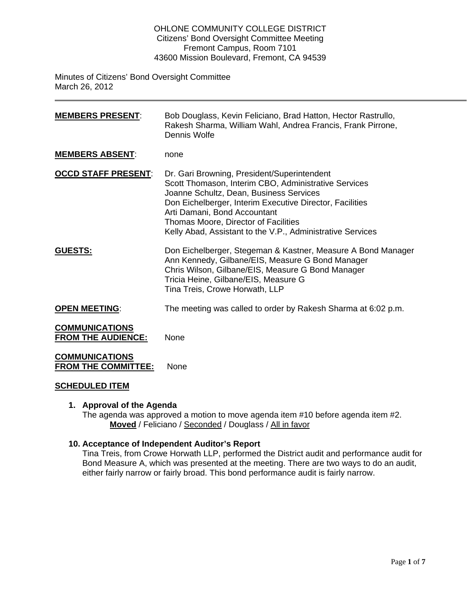### OHLONE COMMUNITY COLLEGE DISTRICT Citizens' Bond Oversight Committee Meeting Fremont Campus, Room 7101 43600 Mission Boulevard, Fremont, CA 94539

Minutes of Citizens' Bond Oversight Committee March 26, 2012

| <b>MEMBERS PRESENT:</b>                             | Bob Douglass, Kevin Feliciano, Brad Hatton, Hector Rastrullo,<br>Rakesh Sharma, William Wahl, Andrea Francis, Frank Pirrone,<br>Dennis Wolfe                                                                                                                                                                                                     |
|-----------------------------------------------------|--------------------------------------------------------------------------------------------------------------------------------------------------------------------------------------------------------------------------------------------------------------------------------------------------------------------------------------------------|
| <b>MEMBERS ABSENT:</b>                              | none                                                                                                                                                                                                                                                                                                                                             |
| <b>OCCD STAFF PRESENT:</b>                          | Dr. Gari Browning, President/Superintendent<br>Scott Thomason, Interim CBO, Administrative Services<br>Joanne Schultz, Dean, Business Services<br>Don Eichelberger, Interim Executive Director, Facilities<br>Arti Damani, Bond Accountant<br>Thomas Moore, Director of Facilities<br>Kelly Abad, Assistant to the V.P., Administrative Services |
| <b>GUESTS:</b>                                      | Don Eichelberger, Stegeman & Kastner, Measure A Bond Manager<br>Ann Kennedy, Gilbane/EIS, Measure G Bond Manager<br>Chris Wilson, Gilbane/EIS, Measure G Bond Manager<br>Tricia Heine, Gilbane/EIS, Measure G<br>Tina Treis, Crowe Horwath, LLP                                                                                                  |
| <b>OPEN MEETING:</b>                                | The meeting was called to order by Rakesh Sharma at 6:02 p.m.                                                                                                                                                                                                                                                                                    |
| <b>COMMUNICATIONS</b><br><b>FROM THE AUDIENCE:</b>  | None                                                                                                                                                                                                                                                                                                                                             |
| <b>COMMUNICATIONS</b><br><b>FROM THE COMMITTEE:</b> | None                                                                                                                                                                                                                                                                                                                                             |

### **SCHEDULED ITEM**

### **1. Approval of the Agenda**

The agenda was approved a motion to move agenda item #10 before agenda item #2. **Moved** / Feliciano / Seconded / Douglass / All in favor

### **10. Acceptance of Independent Auditor's Report**

Tina Treis, from Crowe Horwath LLP, performed the District audit and performance audit for Bond Measure A, which was presented at the meeting. There are two ways to do an audit, either fairly narrow or fairly broad. This bond performance audit is fairly narrow.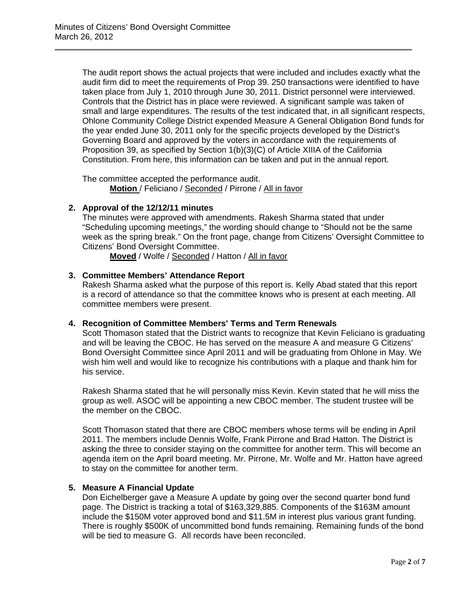The audit report shows the actual projects that were included and includes exactly what the audit firm did to meet the requirements of Prop 39. 250 transactions were identified to have taken place from July 1, 2010 through June 30, 2011. District personnel were interviewed. Controls that the District has in place were reviewed. A significant sample was taken of small and large expenditures. The results of the test indicated that, in all significant respects, Ohlone Community College District expended Measure A General Obligation Bond funds for the year ended June 30, 2011 only for the specific projects developed by the District's Governing Board and approved by the voters in accordance with the requirements of Proposition 39, as specified by Section 1(b)(3)(C) of Article XIIIA of the California Constitution. From here, this information can be taken and put in the annual report.

The committee accepted the performance audit. **Motion** / Feliciano / Seconded / Pirrone / All in favor

## **2. Approval of the 12/12/11 minutes**

The minutes were approved with amendments. Rakesh Sharma stated that under "Scheduling upcoming meetings," the wording should change to "Should not be the same week as the spring break." On the front page, change from Citizens' Oversight Committee to Citizens' Bond Oversight Committee.

**Moved** / Wolfe / Seconded / Hatton / All in favor

## **3. Committee Members' Attendance Report**

Rakesh Sharma asked what the purpose of this report is. Kelly Abad stated that this report is a record of attendance so that the committee knows who is present at each meeting. All committee members were present.

## **4. Recognition of Committee Members' Terms and Term Renewals**

Scott Thomason stated that the District wants to recognize that Kevin Feliciano is graduating and will be leaving the CBOC. He has served on the measure A and measure G Citizens' Bond Oversight Committee since April 2011 and will be graduating from Ohlone in May. We wish him well and would like to recognize his contributions with a plaque and thank him for his service.

Rakesh Sharma stated that he will personally miss Kevin. Kevin stated that he will miss the group as well. ASOC will be appointing a new CBOC member. The student trustee will be the member on the CBOC.

Scott Thomason stated that there are CBOC members whose terms will be ending in April 2011. The members include Dennis Wolfe, Frank Pirrone and Brad Hatton. The District is asking the three to consider staying on the committee for another term. This will become an agenda item on the April board meeting. Mr. Pirrone, Mr. Wolfe and Mr. Hatton have agreed to stay on the committee for another term.

# **5. Measure A Financial Update**

Don Eichelberger gave a Measure A update by going over the second quarter bond fund page. The District is tracking a total of \$163,329,885. Components of the \$163M amount include the \$150M voter approved bond and \$11.5M in interest plus various grant funding. There is roughly \$500K of uncommitted bond funds remaining. Remaining funds of the bond will be tied to measure G. All records have been reconciled.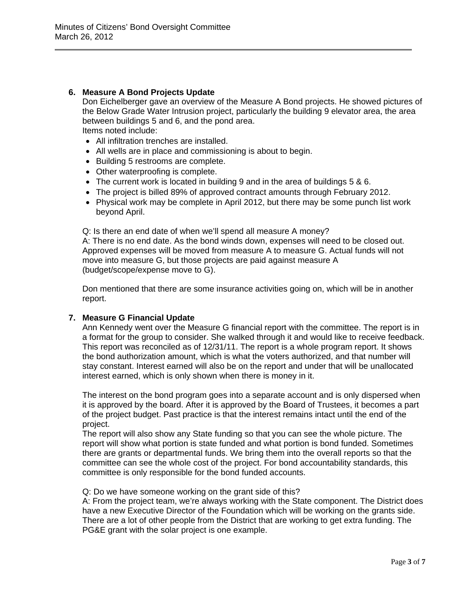# **6. Measure A Bond Projects Update**

Don Eichelberger gave an overview of the Measure A Bond projects. He showed pictures of the Below Grade Water Intrusion project, particularly the building 9 elevator area, the area between buildings 5 and 6, and the pond area. Items noted include:

- All infiltration trenches are installed.
- All wells are in place and commissioning is about to begin.
- Building 5 restrooms are complete.
- Other waterproofing is complete.
- The current work is located in building 9 and in the area of buildings 5 & 6.
- The project is billed 89% of approved contract amounts through February 2012.
- Physical work may be complete in April 2012, but there may be some punch list work beyond April.

Q: Is there an end date of when we'll spend all measure A money?

A: There is no end date. As the bond winds down, expenses will need to be closed out. Approved expenses will be moved from measure A to measure G. Actual funds will not move into measure G, but those projects are paid against measure A (budget/scope/expense move to G).

Don mentioned that there are some insurance activities going on, which will be in another report.

### **7. Measure G Financial Update**

Ann Kennedy went over the Measure G financial report with the committee. The report is in a format for the group to consider. She walked through it and would like to receive feedback. This report was reconciled as of 12/31/11. The report is a whole program report. It shows the bond authorization amount, which is what the voters authorized, and that number will stay constant. Interest earned will also be on the report and under that will be unallocated interest earned, which is only shown when there is money in it.

The interest on the bond program goes into a separate account and is only dispersed when it is approved by the board. After it is approved by the Board of Trustees, it becomes a part of the project budget. Past practice is that the interest remains intact until the end of the project.

The report will also show any State funding so that you can see the whole picture. The report will show what portion is state funded and what portion is bond funded. Sometimes there are grants or departmental funds. We bring them into the overall reports so that the committee can see the whole cost of the project. For bond accountability standards, this committee is only responsible for the bond funded accounts.

### Q: Do we have someone working on the grant side of this?

A: From the project team, we're always working with the State component. The District does have a new Executive Director of the Foundation which will be working on the grants side. There are a lot of other people from the District that are working to get extra funding. The PG&E grant with the solar project is one example.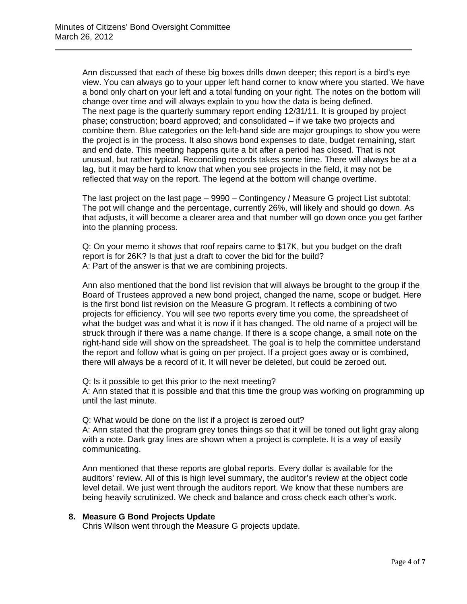Ann discussed that each of these big boxes drills down deeper; this report is a bird's eye view. You can always go to your upper left hand corner to know where you started. We have a bond only chart on your left and a total funding on your right. The notes on the bottom will change over time and will always explain to you how the data is being defined. The next page is the quarterly summary report ending 12/31/11. It is grouped by project phase; construction; board approved; and consolidated – if we take two projects and combine them. Blue categories on the left-hand side are major groupings to show you were the project is in the process. It also shows bond expenses to date, budget remaining, start and end date. This meeting happens quite a bit after a period has closed. That is not unusual, but rather typical. Reconciling records takes some time. There will always be at a lag, but it may be hard to know that when you see projects in the field, it may not be reflected that way on the report. The legend at the bottom will change overtime.

The last project on the last page – 9990 – Contingency / Measure G project List subtotal: The pot will change and the percentage, currently 26%, will likely and should go down. As that adjusts, it will become a clearer area and that number will go down once you get farther into the planning process.

Q: On your memo it shows that roof repairs came to \$17K, but you budget on the draft report is for 26K? Is that just a draft to cover the bid for the build? A: Part of the answer is that we are combining projects.

Ann also mentioned that the bond list revision that will always be brought to the group if the Board of Trustees approved a new bond project, changed the name, scope or budget. Here is the first bond list revision on the Measure G program. It reflects a combining of two projects for efficiency. You will see two reports every time you come, the spreadsheet of what the budget was and what it is now if it has changed. The old name of a project will be struck through if there was a name change. If there is a scope change, a small note on the right-hand side will show on the spreadsheet. The goal is to help the committee understand the report and follow what is going on per project. If a project goes away or is combined, there will always be a record of it. It will never be deleted, but could be zeroed out.

Q: Is it possible to get this prior to the next meeting?

A: Ann stated that it is possible and that this time the group was working on programming up until the last minute.

Q: What would be done on the list if a project is zeroed out?

A: Ann stated that the program grey tones things so that it will be toned out light gray along with a note. Dark gray lines are shown when a project is complete. It is a way of easily communicating.

Ann mentioned that these reports are global reports. Every dollar is available for the auditors' review. All of this is high level summary, the auditor's review at the object code level detail. We just went through the auditors report. We know that these numbers are being heavily scrutinized. We check and balance and cross check each other's work.

### **8. Measure G Bond Projects Update**

Chris Wilson went through the Measure G projects update.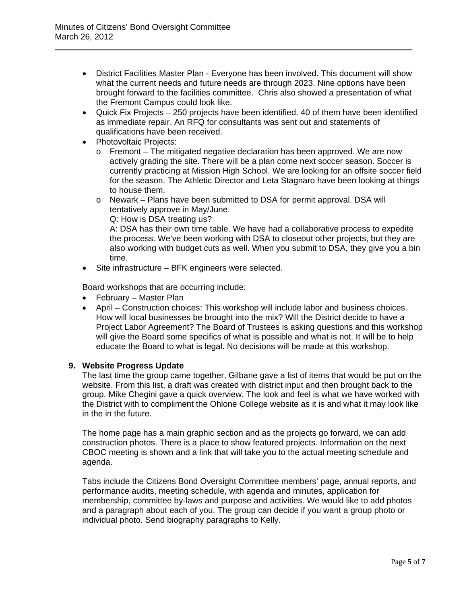- District Facilities Master Plan Everyone has been involved. This document will show what the current needs and future needs are through 2023. Nine options have been brought forward to the facilities committee. Chris also showed a presentation of what the Fremont Campus could look like.
- Quick Fix Projects 250 projects have been identified. 40 of them have been identified as immediate repair. An RFQ for consultants was sent out and statements of qualifications have been received.
- Photovoltaic Projects:
	- $\circ$  Fremont The mitigated negative declaration has been approved. We are now actively grading the site. There will be a plan come next soccer season. Soccer is currently practicing at Mission High School. We are looking for an offsite soccer field for the season. The Athletic Director and Leta Stagnaro have been looking at things to house them.
	- o Newark Plans have been submitted to DSA for permit approval. DSA will tentatively approve in May/June.

Q: How is DSA treating us?

A: DSA has their own time table. We have had a collaborative process to expedite the process. We've been working with DSA to closeout other projects, but they are also working with budget cuts as well. When you submit to DSA, they give you a bin time.

• Site infrastructure – BFK engineers were selected.

Board workshops that are occurring include:

- February Master Plan
- April Construction choices: This workshop will include labor and business choices. How will local businesses be brought into the mix? Will the District decide to have a Project Labor Agreement? The Board of Trustees is asking questions and this workshop will give the Board some specifics of what is possible and what is not. It will be to help educate the Board to what is legal. No decisions will be made at this workshop.

### **9. Website Progress Update**

The last time the group came together, Gilbane gave a list of items that would be put on the website. From this list, a draft was created with district input and then brought back to the group. Mike Chegini gave a quick overview. The look and feel is what we have worked with the District with to compliment the Ohlone College website as it is and what it may look like in the in the future.

The home page has a main graphic section and as the projects go forward, we can add construction photos. There is a place to show featured projects. Information on the next CBOC meeting is shown and a link that will take you to the actual meeting schedule and agenda.

Tabs include the Citizens Bond Oversight Committee members' page, annual reports, and performance audits, meeting schedule, with agenda and minutes, application for membership, committee by-laws and purpose and activities. We would like to add photos and a paragraph about each of you. The group can decide if you want a group photo or individual photo. Send biography paragraphs to Kelly.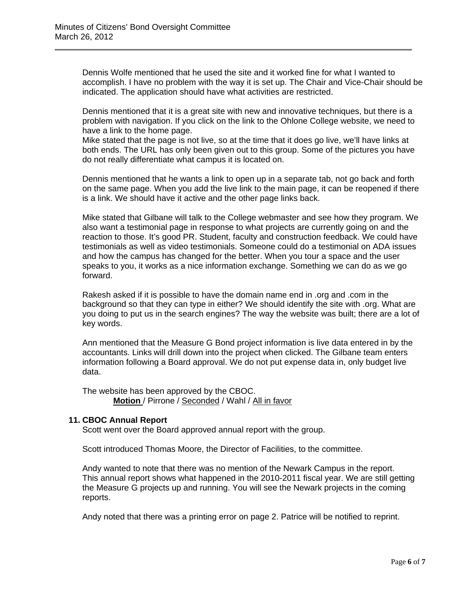Dennis Wolfe mentioned that he used the site and it worked fine for what I wanted to accomplish. I have no problem with the way it is set up. The Chair and Vice-Chair should be indicated. The application should have what activities are restricted.

Dennis mentioned that it is a great site with new and innovative techniques, but there is a problem with navigation. If you click on the link to the Ohlone College website, we need to have a link to the home page.

Mike stated that the page is not live, so at the time that it does go live, we'll have links at both ends. The URL has only been given out to this group. Some of the pictures you have do not really differentiate what campus it is located on.

Dennis mentioned that he wants a link to open up in a separate tab, not go back and forth on the same page. When you add the live link to the main page, it can be reopened if there is a link. We should have it active and the other page links back.

Mike stated that Gilbane will talk to the College webmaster and see how they program. We also want a testimonial page in response to what projects are currently going on and the reaction to those. It's good PR. Student, faculty and construction feedback. We could have testimonials as well as video testimonials. Someone could do a testimonial on ADA issues and how the campus has changed for the better. When you tour a space and the user speaks to you, it works as a nice information exchange. Something we can do as we go forward.

Rakesh asked if it is possible to have the domain name end in .org and .com in the background so that they can type in either? We should identify the site with .org. What are you doing to put us in the search engines? The way the website was built; there are a lot of key words.

Ann mentioned that the Measure G Bond project information is live data entered in by the accountants. Links will drill down into the project when clicked. The Gilbane team enters information following a Board approval. We do not put expense data in, only budget live data.

The website has been approved by the CBOC. **Motion** / Pirrone / Seconded / Wahl / All in favor

# **11. CBOC Annual Report**

Scott went over the Board approved annual report with the group.

Scott introduced Thomas Moore, the Director of Facilities, to the committee.

Andy wanted to note that there was no mention of the Newark Campus in the report. This annual report shows what happened in the 2010-2011 fiscal year. We are still getting the Measure G projects up and running. You will see the Newark projects in the coming reports.

Andy noted that there was a printing error on page 2. Patrice will be notified to reprint.